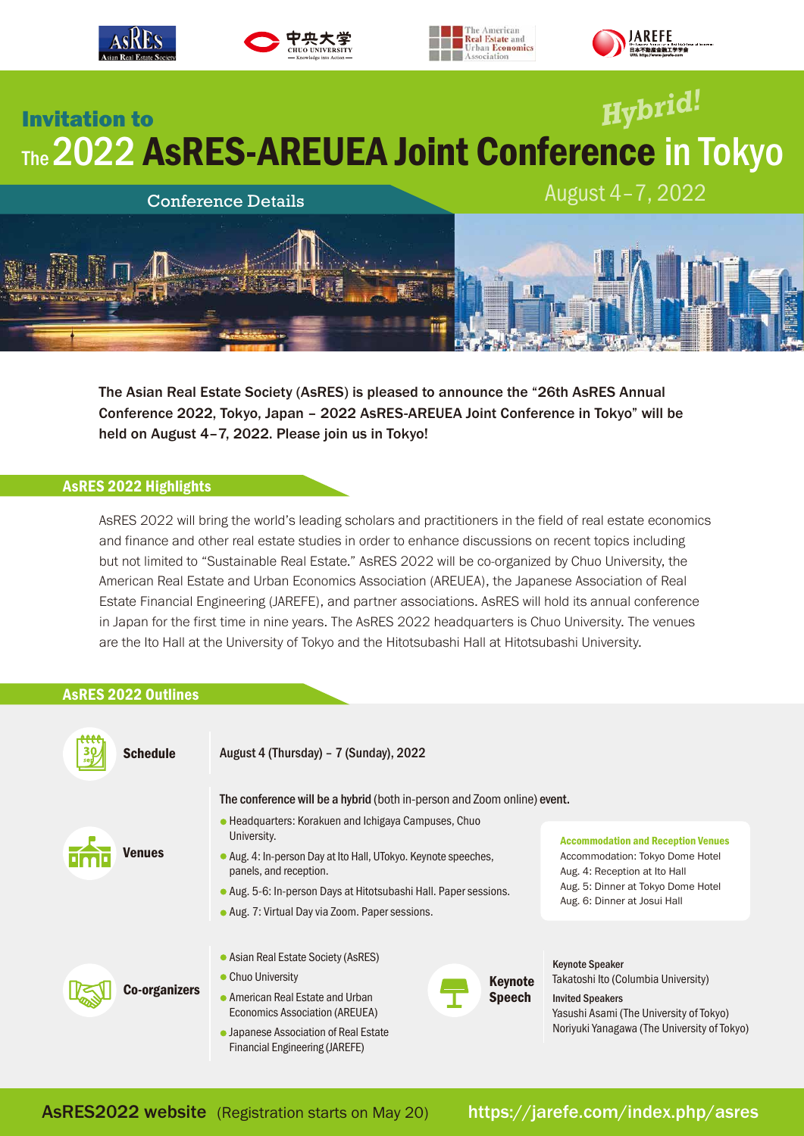

The Asian Real Estate Society (AsRES) is pleased to announce the "26th AsRES Annual Conference 2022, Tokyo, Japan – 2022 AsRES-AREUEA Joint Conference in Tokyo" will be held on August 4-7, 2022. Please join us in Tokyo!

# AsRES 2022 Highlights

AsRES 2022 will bring the world's leading scholars and practitioners in the field of real estate economics and finance and other real estate studies in order to enhance discussions on recent topics including but not limited to "Sustainable Real Estate." AsRES 2022 will be co-organized by Chuo University, the American Real Estate and Urban Economics Association (AREUEA), the Japanese Association of Real Estate Financial Engineering (JAREFE), and partner associations. AsRES will hold its annual conference in Japan for the first time in nine years. The AsRES 2022 headquarters is Chuo University. The venues are the Ito Hall at the University of Tokyo and the Hitotsubashi Hall at Hitotsubashi University.

## AsRES 2022 Outlines

| <b>Schedule</b>      | August 4 (Thursday) - 7 (Sunday), 2022                                                   |                                                                                                                                                                                     |  |
|----------------------|------------------------------------------------------------------------------------------|-------------------------------------------------------------------------------------------------------------------------------------------------------------------------------------|--|
| <b>Venues</b>        | The conference will be a hybrid (both in-person and Zoom online) event.                  |                                                                                                                                                                                     |  |
|                      | • Headquarters: Korakuen and Ichigaya Campuses, Chuo<br>University.                      | <b>Accommodation and Reception Venues</b><br>Accommodation: Tokyo Dome Hotel<br>Aug. 4: Reception at Ito Hall<br>Aug. 5: Dinner at Tokyo Dome Hotel<br>Aug. 6: Dinner at Josui Hall |  |
|                      | • Aug. 4: In-person Day at Ito Hall, UTokyo. Keynote speeches,<br>panels, and reception. |                                                                                                                                                                                     |  |
|                      | • Aug. 5-6: In-person Days at Hitotsubashi Hall. Paper sessions.                         |                                                                                                                                                                                     |  |
|                      | • Aug. 7: Virtual Day via Zoom. Paper sessions.                                          |                                                                                                                                                                                     |  |
| <b>Co-organizers</b> | • Asian Real Estate Society (AsRES)<br>• Chuo University<br><b>Keynote</b>               | <b>Keynote Speaker</b><br>Takatoshi Ito (Columbia University)                                                                                                                       |  |
|                      | • American Real Estate and Urban<br><b>Speech</b><br>Economics Association (AREUEA)      | <b>Invited Speakers</b><br>Yasushi Asami (The University of Tokyo)                                                                                                                  |  |
|                      | • Japanese Association of Real Estate<br>Financial Engineering (JAREFE)                  | Noriyuki Yanagawa (The University of Tokyo)                                                                                                                                         |  |

AsRES2022 website (Registration starts on May 20) https://jarefe.com/index.php/asres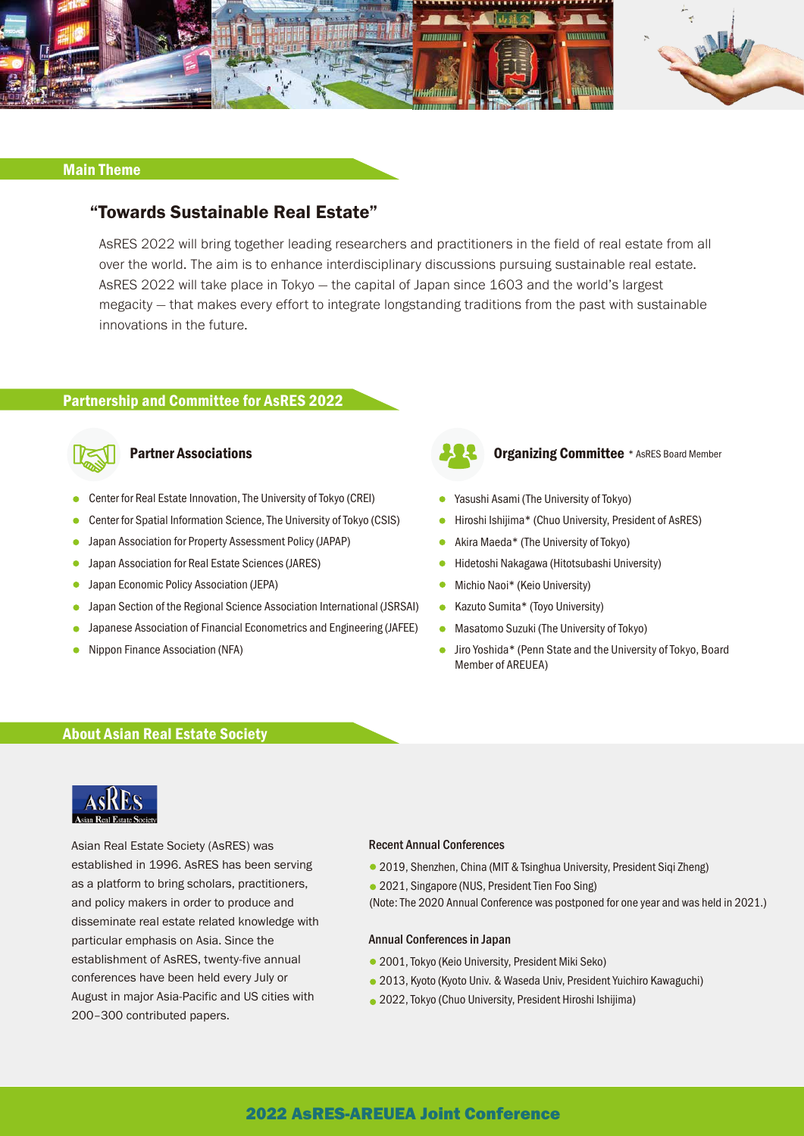

## Main Theme

# "Towards Sustainable Real Estate"

AsRES 2022 will bring together leading researchers and practitioners in the field of real estate from all over the world. The aim is to enhance interdisciplinary discussions pursuing sustainable real estate. AsRES 2022 will take place in Tokyo — the capital of Japan since 1603 and the world's largest megacity — that makes every effort to integrate longstanding traditions from the past with sustainable innovations in the future.

## Partnership and Committee for AsRES 2022



- Center for Real Estate Innovation, The University of Tokyo (CREI)
- Center for Spatial Information Science, The University of Tokyo (CSIS)
- Japan Association for Property Assessment Policy (JAPAP)
- $\bullet$ Japan Association for Real Estate Sciences (JARES)
- Japan Economic Policy Association (JEPA)  $\bullet$
- Japan Section of the Regional Science Association International (JSRSAI)  $\bullet$
- Japanese Association of Financial Econometrics and Engineering (JAFEE)
- Nippon Finance Association (NFA)



## **Partner Associations Committee** \* AsRES Board Member

- Yasushi Asami (The University of Tokyo)
- Hiroshi Ishijima\* (Chuo University, President of AsRES)
- Akira Maeda\* (The University of Tokyo)
- Hidetoshi Nakagawa (Hitotsubashi University)
- Michio Naoi\* (Keio University)  $\bullet$
- Kazuto Sumita\* (Toyo University)
- Masatomo Suzuki (The University of Tokyo)
- Jiro Yoshida\* (Penn State and the University of Tokyo, Board Member of AREUEA)

## About Asian Real Estate Society



Asian Real Estate Society (AsRES) was established in 1996. AsRES has been serving as a platform to bring scholars, practitioners, and policy makers in order to produce and disseminate real estate related knowledge with particular emphasis on Asia. Since the establishment of AsRES, twenty-five annual conferences have been held every July or August in major Asia-Pacific and US cities with 200–300 contributed papers.

#### Recent Annual Conferences

- 2019, Shenzhen, China (MIT & Tsinghua University, President Siqi Zheng)
- 2021, Singapore (NUS, President Tien Foo Sing)
- (Note: The 2020 Annual Conference was postponed for one year and was held in 2021.)

#### Annual Conferences in Japan

- 2001, Tokyo (Keio University, President Miki Seko)
- 2013, Kyoto (Kyoto Univ. & Waseda Univ, President Yuichiro Kawaguchi)
- 2022, Tokyo (Chuo University, President Hiroshi Ishijima)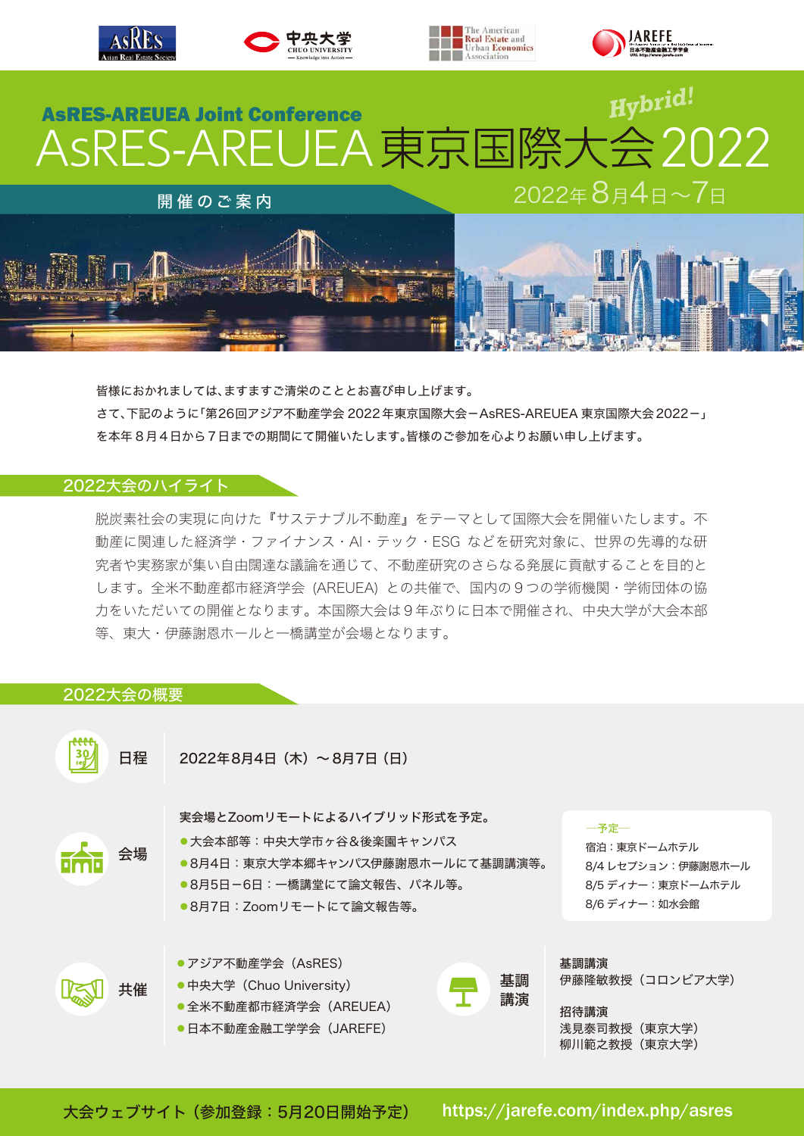

皆様におかれましては、ますますご清栄のこととお喜び申し上げます。 さて、下記のように「第26回アジア不動産学会 2022年東京国際大会-AsRES-AREUEA 東京国際大会2022-」 を本年 8月4日から7日までの期間にて開催いたします。皆様のご参加を心よりお願い申し上げます。

# 2022大会のハイライト

脱炭素社会の実現に向けた『サステナブル不動産』をテーマとして国際大会を開催いたします。不 動産に関連した経済学・ファイナンス・AI・テック・ESG などを研究対象に、世界の先導的な研 究者や実務家が集い自由闊達な議論を通じて、不動産研究のさらなる発展に貢献することを目的と します。全米不動産都市経済学会 (AREUEA) との共催で、国内の9つの学術機関・学術団体の協 力をいただいての開催となります。本国際大会は9年ぶりに日本で開催され、中央大学が大会本部 等、東大・伊藤謝恩ホールと一橋講堂が会場となります。

# 2022大会の概要



https://jarefe.com/index.php/asres 大会ウェブサイト(参加登録:5月20日開始予定)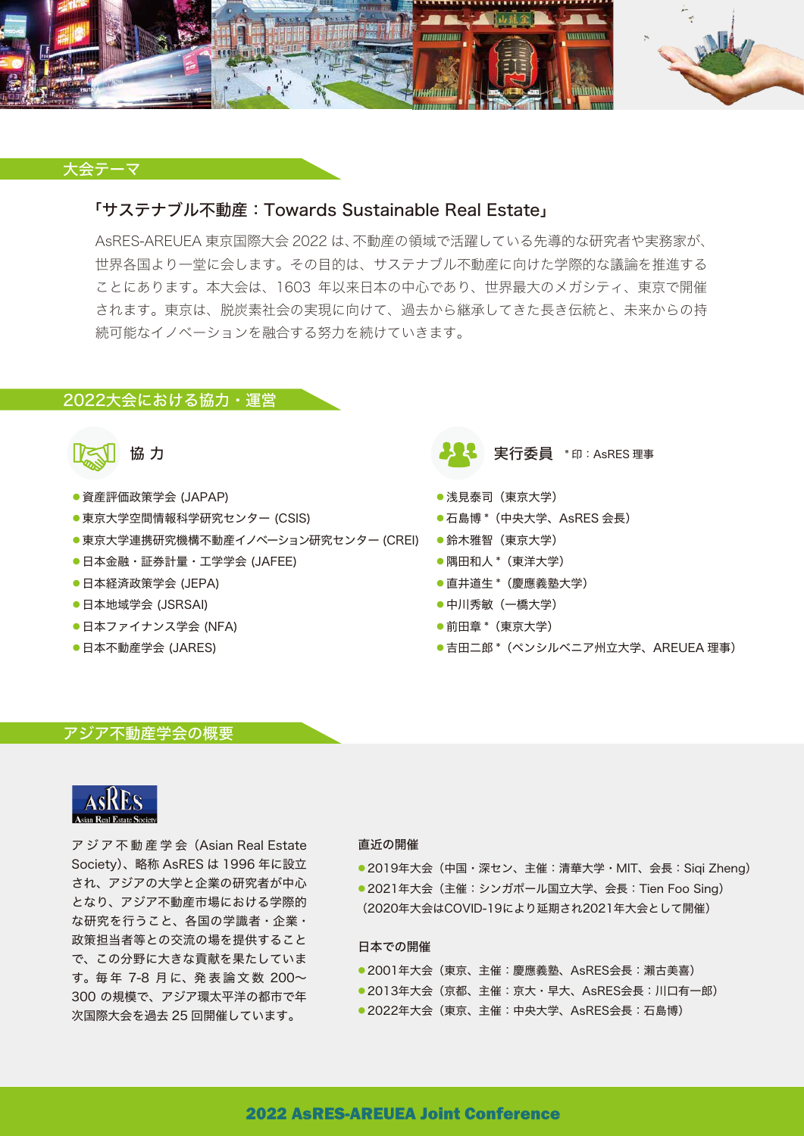

## 大会テーマ

# 「サステナブル不動産:Towards Sustainable Real Estate」

AsRES-AREUEA 東京国際大会 2022 は、不動産の領域で活躍している先導的な研究者や実務家が、 世界各国より一堂に会します。その目的は、サステナブル不動産に向けた学際的な議論を推進する ことにあります。本大会は、1603 年以来日本の中心であり、世界最大のメガシティ、東京で開催 されます。東京は、脱炭素社会の実現に向けて、過去から継承してきた長き伝統と、未来からの持 続可能なイノベーションを融合する努力を続けていきます。

## 2022大会における協力・運営



- ・資産評価政策学会 (JAPAP)
- 東京大学空間情報科学研究センター (CSIS)
- ●東京大学連携研究機構不動産イノベーション研究センター (CREI) 鈴木雅智(東京大学)
- ・日本金融・証券計量・工学学会 (JAFEE)
- ・日本経済政策学会 (JEPA)
- ・日本地域学会 (JSRSAI)
- ・日本ファイナンス学会 (NFA)
- ・日本不動産学会 (JARES)



- ・浅見泰司(東京大学)
- ・石島博 \*(中央大学、AsRES 会長)
- 
- ・隅田和人 \*(東洋大学)
- ・直井道生 \*(慶應義塾大学)
- ・中川秀敏(一橋大学)
- ・前田章 \*(東京大学)
- ●吉田二郎 \* (ペンシルベニア州立大学、AREUEA 理事)

#### アジア不動産学会の概要



ア ジ ア 不 動 産 学 会(Asian Real Estate Society)、略称 AsRES は 1996 年に設立 され、アジアの大学と企業の研究者が中心 となり、アジア不動産市場における学際的 な研究を行うこと、各国の学識者・企業・ 政策担当者等との交流の場を提供すること で、この分野に大きな貢献を果たしていま す。毎 年 7-8 月 に、発 表 論 文 数 200~ 300 の規模で、アジア環太平洋の都市で年 次国際大会を過去 25 回開催しています。

#### 直近の開催

- ●2019年大会(中国・深セン、主催:清華大学・MIT、会長:Siqi Zheng)
- 2021年大会(主催:シンガポール国立大学、会長: Tien Foo Sing)
- (2020年大会はCOVID-19により延期され2021年大会として開催)

#### 日本での開催

- 2001年大会 (東京、主催:慶應義塾、AsRES会長:瀨古美喜)
- 2013年大会(京都、主催:京大·早大、AsRES会長:川口有一郎)
- 2022年大会 (東京、主催: 中央大学、AsRES会長: 石島博)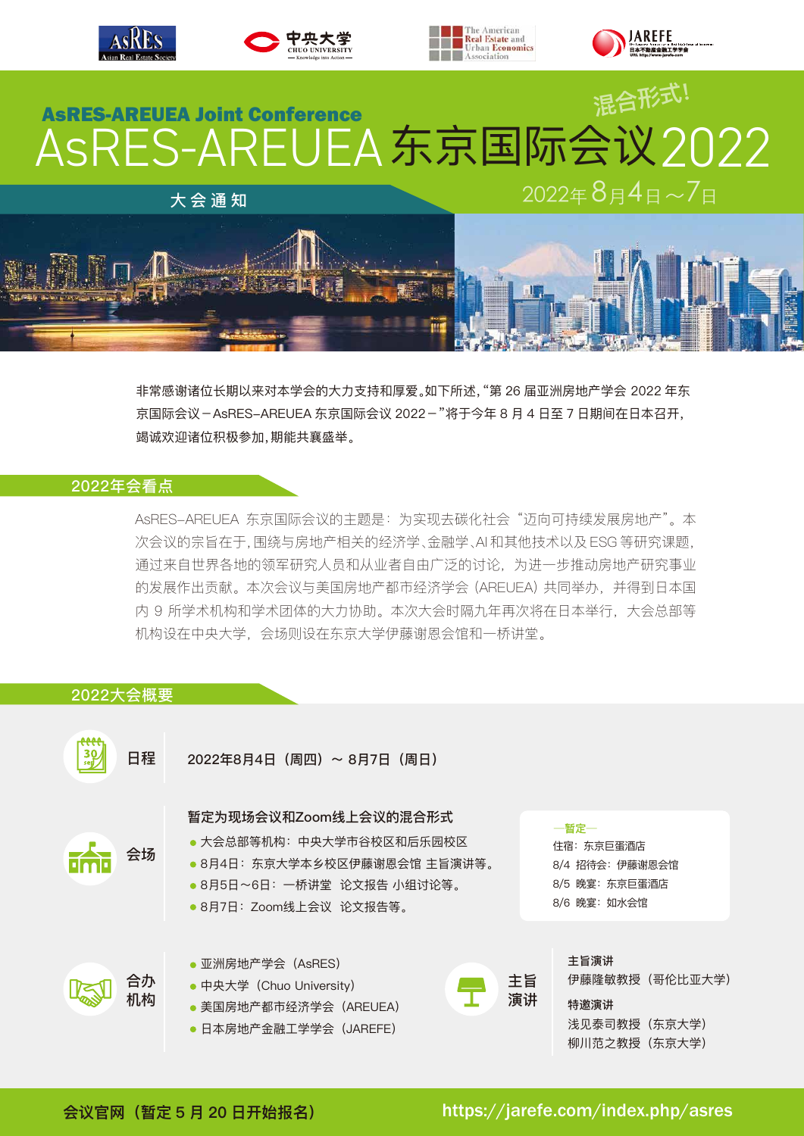

非常感谢诸位长期以来对本学会的大力支持和厚爱。如下所述,"第 26 届亚洲房地产学会 2022 年东 京国际会议-AsRES-AREUEA 东京国际会议 2022-"将于今年 8 月 4 日至 7 日期间在日本召开, 竭诚欢迎诸位积极参加,期能共襄盛举。

# 2022年会看点

AsRES-AREUEA 东京国际会议的主题是:为实现去碳化社会 "迈向可持续发展房地产"。本 次会议的宗旨在于,围绕与房地产相关的经济学、金融学、AI 和其他技术以及 ESG 等研究课题, 通过来自世界各地的领军研究人员和从业者自由广泛的讨论,为进一步推动房地产研究事业 的发展作出贡献。本次会议与美国房地产都市经济学会 (AREUEA) 共同举办,并得到日本国 内 9 所学术机构和学术团体的大力协助。本次大会时隔九年再次将在日本举行,大会总部等 机构设在中央大学,会场则设在东京大学伊藤谢恩会馆和一桥讲堂。

# 2022大会概要



**会议官网(暂定 5 月 20 日开始报名)**